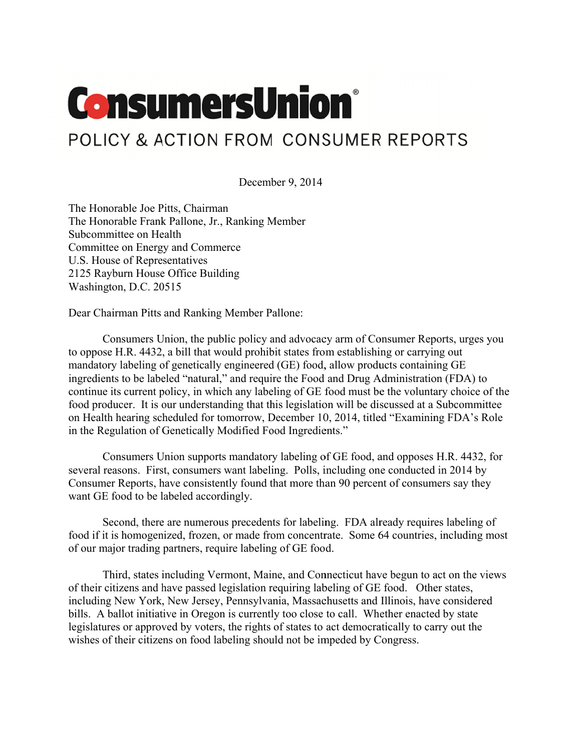## **ConsumersUnion®**

## POLICY & ACTION FROM CONSUMER REPORTS

December 9, 2014

The Honorable Joe Pitts, Chairman The Honorable Frank Pallone, Jr., Ranking Member Subcommittee on Health Committee on Energy and Commerce U.S. House of Representatives 2125 Rayburn House Office Building Washington, D.C. 20515

Dear Chairman Pitts and Ranking Member Pallone:

Consumers Union, the public policy and advocacy arm of Consumer Reports, urges you to oppose H.R. 4432, a bill that would prohibit states from establishing or carrying out mandatory labeling of genetically engineered (GE) food, allow products containing GE ingredients to be labeled "natural," and require the Food and Drug Administration (FDA) to continue its current policy, in which any labeling of GE food must be the voluntary choice of the food producer. It is our understanding that this legislation will be discussed at a Subcommittee on Health hearing scheduled for tomorrow, December 10, 2014, titled "Examining FDA's Role" in the Regulation of Genetically Modified Food Ingredients."

Consumers Union supports mandatory labeling of GE food, and opposes H.R. 4432, for several reasons. First, consumers want labeling. Polls, including one conducted in 2014 by Consumer Reports, have consistently found that more than 90 percent of consumers say they want GE food to be labeled accordingly.

Second, there are numerous precedents for labeling. FDA already requires labeling of food if it is homogenized, frozen, or made from concentrate. Some 64 countries, including most of our major trading partners, require labeling of GE food.

Third, states including Vermont, Maine, and Connecticut have begun to act on the views of their citizens and have passed legislation requiring labeling of GE food. Other states, including New York, New Jersey, Pennsylvania, Massachusetts and Illinois, have considered bills. A ballot initiative in Oregon is currently too close to call. Whether enacted by state legislatures or approved by voters, the rights of states to act democratically to carry out the wishes of their citizens on food labeling should not be impeded by Congress.